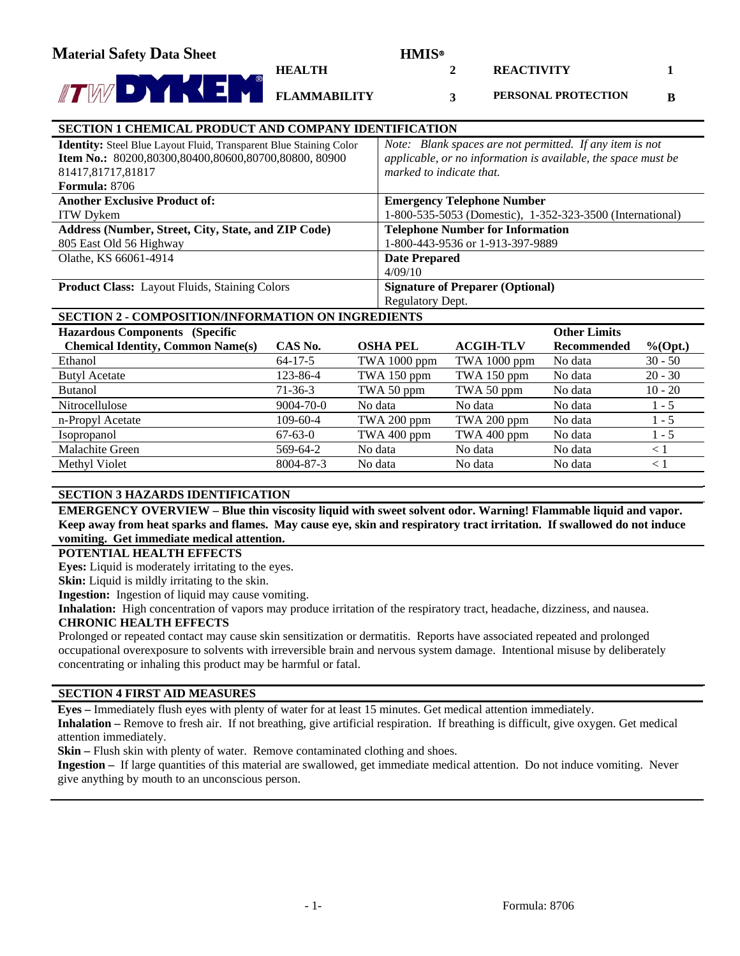**2** 

**3** 

**REACTIVITY** 

**1** 

**B** 

**PERSONAL PROTECTION** 

#### **SECTION 1 CHEMICAL PRODUCT AND COMPANY IDENTIFICATION Identity:** Steel Blue Layout Fluid, Transparent Blue Staining Color **Item No.:** 80200,80300,80400,80600,80700,80800, 80900 81417,81717,81817 **Formula:** 8706 *Note: Blank spaces are not permitted. If any item is not applicable, or no information is available, the space must be marked to indicate that.*  **Another Exclusive Product of:**  ITW Dykem **Emergency Telephone Number** 1-800-535-5053 (Domestic), 1-352-323-3500 (International) **Address (Number, Street, City, State, and ZIP Code)** 805 East Old 56 Highway **Telephone Number for Information** 1-800-443-9536 or 1-913-397-9889 Olathe, KS 66061-4914 **Date Prepared** 4/09/10 **Product Class:** Layout Fluids, Staining Colors **Signature of Preparer (Optional)** Regulatory Dept.

**HEALTH** 

**FLAMMABILITY**

# **SECTION 2 - COMPOSITION/INFORMATION ON INGREDIENTS**

| <b>Hazardous Components (Specific</b>    |                 |                 |                  | <b>Other Limits</b> |             |
|------------------------------------------|-----------------|-----------------|------------------|---------------------|-------------|
| <b>Chemical Identity, Common Name(s)</b> | CAS No.         | <b>OSHA PEL</b> | <b>ACGIH-TLV</b> | Recommended         | $\%$ (Opt.) |
| Ethanol                                  | $64 - 17 - 5$   | TWA 1000 ppm    | TWA 1000 ppm     | No data             | $30 - 50$   |
| <b>Butyl Acetate</b>                     | 123-86-4        | TWA 150 ppm     | TWA 150 ppm      | No data             | $20 - 30$   |
| <b>Butanol</b>                           | $71-36-3$       | TWA 50 ppm      | TWA 50 ppm       | No data             | $10 - 20$   |
| Nitrocellulose                           | $9004 - 70 - 0$ | No data         | No data          | No data             | $1 - 5$     |
| n-Propyl Acetate                         | $109 - 60 - 4$  | TWA 200 ppm     | TWA 200 ppm      | No data             | $1 - 5$     |
| <i>Isopropanol</i>                       | $67-63-0$       | TWA 400 ppm     | TWA 400 ppm      | No data             | $1 - 5$     |
| Malachite Green                          | 569-64-2        | No data         | No data          | No data             | $\leq 1$    |
| Methyl Violet                            | 8004-87-3       | No data         | No data          | No data             | $\leq 1$    |

# **SECTION 3 HAZARDS IDENTIFICATION**

**EMERGENCY OVERVIEW – Blue thin viscosity liquid with sweet solvent odor. Warning! Flammable liquid and vapor. Keep away from heat sparks and flames. May cause eye, skin and respiratory tract irritation. If swallowed do not induce vomiting. Get immediate medical attention.**

**POTENTIAL HEALTH EFFECTS** 

**Eyes:** Liquid is moderately irritating to the eyes.

**Skin:** Liquid is mildly irritating to the skin.

**Ingestion:** Ingestion of liquid may cause vomiting.

**Inhalation:** High concentration of vapors may produce irritation of the respiratory tract, headache, dizziness, and nausea.

# **CHRONIC HEALTH EFFECTS**

Prolonged or repeated contact may cause skin sensitization or dermatitis. Reports have associated repeated and prolonged occupational overexposure to solvents with irreversible brain and nervous system damage. Intentional misuse by deliberately concentrating or inhaling this product may be harmful or fatal.

# **SECTION 4 FIRST AID MEASURES**

**Eyes –** Immediately flush eyes with plenty of water for at least 15 minutes. Get medical attention immediately.

**Inhalation –** Remove to fresh air. If not breathing, give artificial respiration. If breathing is difficult, give oxygen. Get medical attention immediately.

**Skin –** Flush skin with plenty of water. Remove contaminated clothing and shoes.

**Ingestion –** If large quantities of this material are swallowed, get immediate medical attention. Do not induce vomiting. Never give anything by mouth to an unconscious person.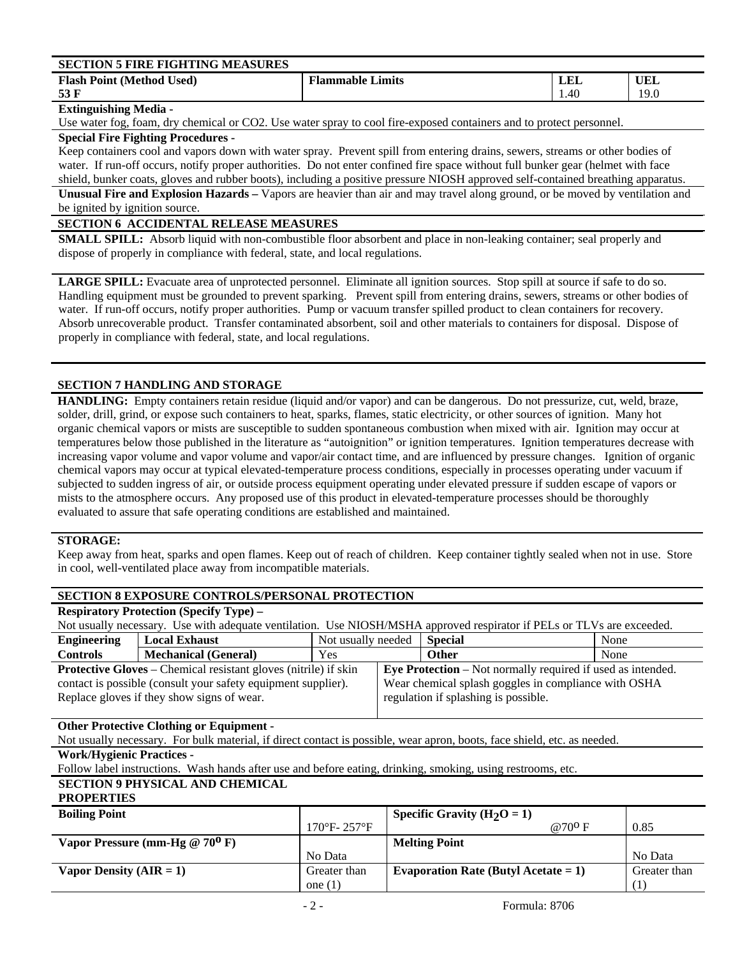| <b>SECTION 5 FIRE FIGHTING MEASURES</b> |                         |      |      |
|-----------------------------------------|-------------------------|------|------|
| <b>Flash Point (Method Used)</b>        | <b>Flammable Limits</b> | LEI  | UEL  |
| 53 F                                    |                         | 1.40 | 19.0 |

#### **Extinguishing Media -**

Use water fog, foam, dry chemical or CO2. Use water spray to cool fire-exposed containers and to protect personnel.

### **Special Fire Fighting Procedures -**

Keep containers cool and vapors down with water spray. Prevent spill from entering drains, sewers, streams or other bodies of water. If run-off occurs, notify proper authorities. Do not enter confined fire space without full bunker gear (helmet with face shield, bunker coats, gloves and rubber boots), including a positive pressure NIOSH approved self-contained breathing apparatus.

**Unusual Fire and Explosion Hazards –** Vapors are heavier than air and may travel along ground, or be moved by ventilation and be ignited by ignition source.

## **SECTION 6 ACCIDENTAL RELEASE MEASURES**

**SMALL SPILL:** Absorb liquid with non-combustible floor absorbent and place in non-leaking container; seal properly and dispose of properly in compliance with federal, state, and local regulations.

**LARGE SPILL:** Evacuate area of unprotected personnel. Eliminate all ignition sources. Stop spill at source if safe to do so. Handling equipment must be grounded to prevent sparking. Prevent spill from entering drains, sewers, streams or other bodies of water. If run-off occurs, notify proper authorities. Pump or vacuum transfer spilled product to clean containers for recovery. Absorb unrecoverable product. Transfer contaminated absorbent, soil and other materials to containers for disposal. Dispose of properly in compliance with federal, state, and local regulations.

### **SECTION 7 HANDLING AND STORAGE**

**HANDLING:** Empty containers retain residue (liquid and/or vapor) and can be dangerous. Do not pressurize, cut, weld, braze, solder, drill, grind, or expose such containers to heat, sparks, flames, static electricity, or other sources of ignition. Many hot organic chemical vapors or mists are susceptible to sudden spontaneous combustion when mixed with air. Ignition may occur at temperatures below those published in the literature as "autoignition" or ignition temperatures. Ignition temperatures decrease with increasing vapor volume and vapor volume and vapor/air contact time, and are influenced by pressure changes. Ignition of organic chemical vapors may occur at typical elevated-temperature process conditions, especially in processes operating under vacuum if subjected to sudden ingress of air, or outside process equipment operating under elevated pressure if sudden escape of vapors or mists to the atmosphere occurs. Any proposed use of this product in elevated-temperature processes should be thoroughly evaluated to assure that safe operating conditions are established and maintained.

#### **STORAGE:**

Keep away from heat, sparks and open flames. Keep out of reach of children. Keep container tightly sealed when not in use. Store in cool, well-ventilated place away from incompatible materials.

### **SECTION 8 EXPOSURE CONTROLS/PERSONAL PROTECTION**

# **Respiratory Protection (Specify Type) –**

| Not usually necessary. Use with adequate ventilation. Use NIOSH/MSHA approved respirator if PELs or TLVs are exceeded. |                             |                    |                                                                    |         |      |
|------------------------------------------------------------------------------------------------------------------------|-----------------------------|--------------------|--------------------------------------------------------------------|---------|------|
| <b>Engineering</b>                                                                                                     | <b>Local Exhaust</b>        | Not usually needed |                                                                    | Special | None |
| <b>Controls</b>                                                                                                        | <b>Mechanical (General)</b> | Yes                |                                                                    | Other   | None |
| <b>Protective Gloves</b> – Chemical resistant gloves (nitrile) if skin                                                 |                             |                    | <b>Eye Protection</b> – Not normally required if used as intended. |         |      |
| Wear chemical splash goggles in compliance with OSHA<br>contact is possible (consult your safety equipment supplier).  |                             |                    |                                                                    |         |      |
| Replace gloves if they show signs of wear.                                                                             |                             |                    | regulation if splashing is possible.                               |         |      |
|                                                                                                                        |                             |                    |                                                                    |         |      |

#### **Other Protective Clothing or Equipment -**

Not usually necessary. For bulk material, if direct contact is possible, wear apron, boots, face shield, etc. as needed.

**Work/Hygienic Practices -** 

Follow label instructions. Wash hands after use and before eating, drinking, smoking, using restrooms, etc.

# **SECTION 9 PHYSICAL AND CHEMICAL**

# **PROPERTIES**

| <b>Boiling Point</b>             |                                  | Specific Gravity ( $H_2O = 1$ )         |              |
|----------------------------------|----------------------------------|-----------------------------------------|--------------|
|                                  | $170^{\circ}$ F- $257^{\circ}$ F | @70 <sup>0</sup> F                      | 0.85         |
| Vapor Pressure (mm-Hg $@70^0$ F) |                                  | <b>Melting Point</b>                    |              |
|                                  | No Data                          |                                         | No Data      |
| Vapor Density $(AIR = 1)$        | Greater than                     | Evaporation Rate (Butyl Acetate = $1$ ) | Greater than |
|                                  | one $(1)$                        |                                         |              |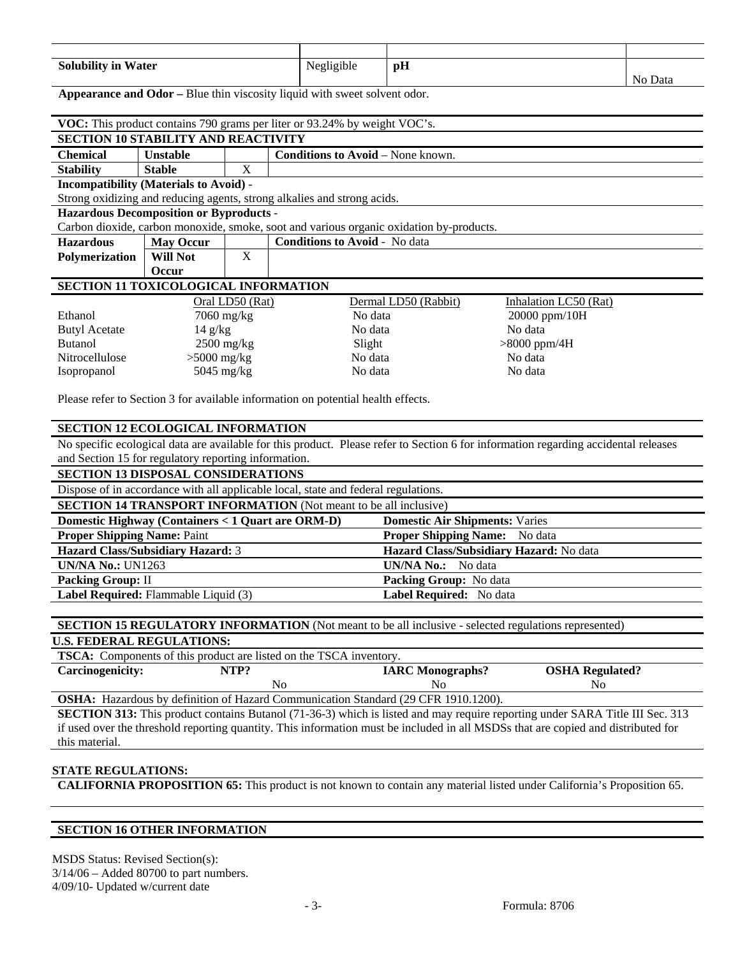| <b>Solubility in Water</b> | Negligible | pH |         |
|----------------------------|------------|----|---------|
|                            |            |    | No Data |

Appearance and Odor – Blue thin viscosity liquid with sweet solvent odor.

|                                                | VOC: This product contains 790 grams per liter or 93.24% by weight VOC's. |                 |                                                                                         |                       |  |  |
|------------------------------------------------|---------------------------------------------------------------------------|-----------------|-----------------------------------------------------------------------------------------|-----------------------|--|--|
| <b>SECTION 10 STABILITY AND REACTIVITY</b>     |                                                                           |                 |                                                                                         |                       |  |  |
| <b>Chemical</b>                                | <b>Unstable</b>                                                           |                 | <b>Conditions to Avoid</b> – None known.                                                |                       |  |  |
| <b>Stability</b>                               | <b>Stable</b>                                                             | X               |                                                                                         |                       |  |  |
| <b>Incompatibility (Materials to Avoid) -</b>  |                                                                           |                 |                                                                                         |                       |  |  |
|                                                |                                                                           |                 | Strong oxidizing and reducing agents, strong alkalies and strong acids.                 |                       |  |  |
| <b>Hazardous Decomposition or Byproducts -</b> |                                                                           |                 |                                                                                         |                       |  |  |
|                                                |                                                                           |                 | Carbon dioxide, carbon monoxide, smoke, soot and various organic oxidation by-products. |                       |  |  |
| <b>Hazardous</b>                               | <b>May Occur</b>                                                          |                 | <b>Conditions to Avoid - No data</b>                                                    |                       |  |  |
| <b>Polymerization</b>                          | Will Not                                                                  | X               |                                                                                         |                       |  |  |
| <b>Occur</b>                                   |                                                                           |                 |                                                                                         |                       |  |  |
| SECTION 11 TOXICOLOGICAL INFORMATION           |                                                                           |                 |                                                                                         |                       |  |  |
|                                                |                                                                           | Oral LD50 (Rat) | Dermal LD50 (Rabbit)                                                                    | Inhalation LC50 (Rat) |  |  |
| Ethanol                                        | $7060$ mg/kg                                                              |                 | No data                                                                                 | 20000 ppm/10H         |  |  |
| <b>Butyl Acetate</b>                           | $14 \text{ g/kg}$                                                         |                 | No data                                                                                 | No data               |  |  |

| <b>Butanol</b>     | $2500 \text{ mg/kg}$ | Slight  | $>8000$ ppm/4H |
|--------------------|----------------------|---------|----------------|
| Nitrocellulose     | $>5000$ mg/kg        | No data | No data        |
| <i>s</i> opropanol | $5045 \text{ mg/kg}$ | No data | No data        |

Please refer to Section 3 for available information on potential health effects.

#### **SECTION 12 ECOLOGICAL INFORMATION**

No specific ecological data are available for this product. Please refer to Section 6 for information regarding accidental releases and Section 15 for regulatory reporting information.

# **SECTION 13 DISPOSAL CONSIDERATIONS**

Dispose of in accordance with all applicable local, state and federal regulations.

| <b>SECTION 14 TRANSPORT INFORMATION</b> (Not meant to be all inclusive) |                                         |  |  |  |
|-------------------------------------------------------------------------|-----------------------------------------|--|--|--|
| Domestic Highway (Containers < 1 Quart are ORM-D)                       | <b>Domestic Air Shipments: Varies</b>   |  |  |  |
| <b>Proper Shipping Name: Paint</b>                                      | <b>Proper Shipping Name:</b> No data    |  |  |  |
| Hazard Class/Subsidiary Hazard: 3                                       | Hazard Class/Subsidiary Hazard: No data |  |  |  |
| <b>UN/NA No.: UN1263</b>                                                | <b>UN/NA No.:</b> No data               |  |  |  |
| <b>Packing Group: II</b>                                                | <b>Packing Group:</b> No data           |  |  |  |
| Label Required: Flammable Liquid (3)                                    | Label Required: No data                 |  |  |  |

**SECTION 15 REGULATORY INFORMATION** (Not meant to be all inclusive - selected regulations represented)

#### **U.S. FEDERAL REGULATIONS:**

| <b>TSCA:</b> Components of this product are listed on the TSCA inventory.                 |      |                         |                        |  |  |
|-------------------------------------------------------------------------------------------|------|-------------------------|------------------------|--|--|
| <b>Carcinogenicity:</b>                                                                   | NTP? | <b>IARC Monographs?</b> | <b>OSHA Regulated?</b> |  |  |
|                                                                                           | Nο   | Nο                      | Nο                     |  |  |
| <b>OSHA</b> • Hazardous by definition of Hazard Communication Standard (29 CER 1910 1200) |      |                         |                        |  |  |

fous by definition of Hazard Communication Standard (29 CFR 1910.1200).

**SECTION 313:** This product contains Butanol (71-36-3) which is listed and may require reporting under SARA Title III Sec. 313 if used over the threshold reporting quantity. This information must be included in all MSDSs that are copied and distributed for this material.

#### **STATE REGULATIONS:**

**CALIFORNIA PROPOSITION 65:** This product is not known to contain any material listed under California's Proposition 65.

#### **SECTION 16 OTHER INFORMATION**

MSDS Status: Revised Section(s): 3/14/06 – Added 80700 to part numbers. 4/09/10- Updated w/current date